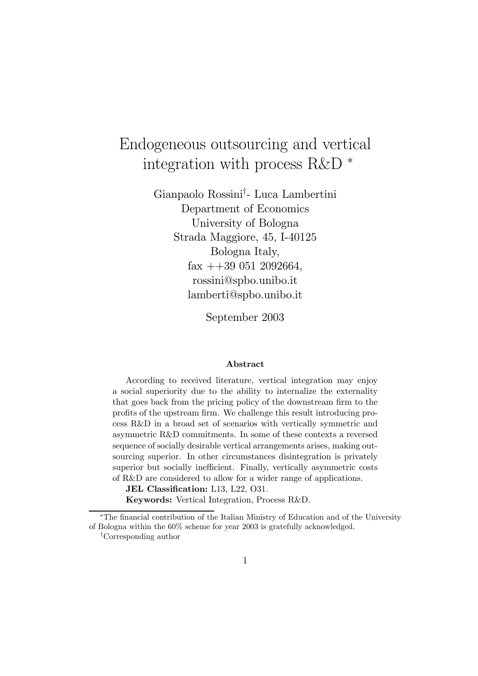# Endogeneous outsourcing and vertical integration with process R&D <sup>∗</sup>

Gianpaolo Rossini† - Luca Lambertini Department of Economics University of Bologna Strada Maggiore, 45, I-40125 Bologna Italy,  $\text{fax} + 390512092664,$ rossini@spbo.unibo.it lamberti@spbo.unibo.it

September 2003

#### Abstract

According to received literature, vertical integration may enjoy a social superiority due to the ability to internalize the externality that goes back from the pricing policy of the downstream firm to the profits of the upstream firm. We challenge this result introducing process R&D in a broad set of scenarios with vertically symmetric and asymmetric R&D commitments. In some of these contexts a reversed sequence of socially desirable vertical arrangements arises, making outsourcing superior. In other circumstances disintegration is privately superior but socially inefficient. Finally, vertically asymmetric costs of R&D are considered to allow for a wider range of applications.

JEL Classification: L13, L22, O31. Keywords: Vertical Integration, Process R&D.

<sup>∗</sup>The financial contribution of the Italian Ministry of Education and of the University of Bologna within the 60% scheme for year 2003 is gratefully acknowledged.

<sup>†</sup>Corresponding author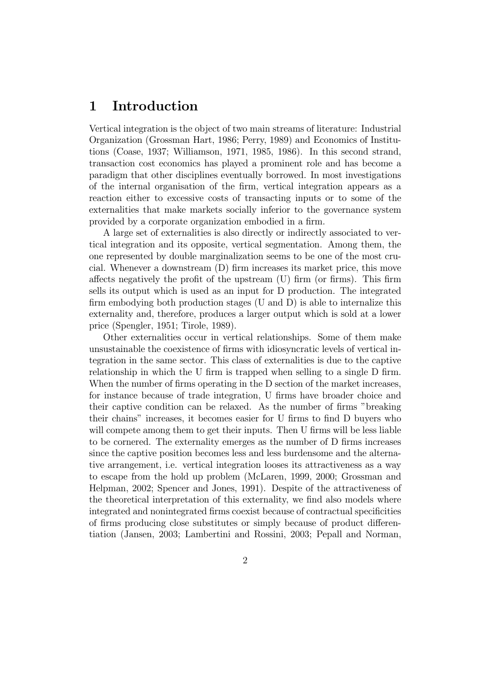## 1 Introduction

Vertical integration is the object of two main streams of literature: Industrial Organization (Grossman Hart, 1986; Perry, 1989) and Economics of Institutions (Coase, 1937; Williamson, 1971, 1985, 1986). In this second strand, transaction cost economics has played a prominent role and has become a paradigm that other disciplines eventually borrowed. In most investigations of the internal organisation of the firm, vertical integration appears as a reaction either to excessive costs of transacting inputs or to some of the externalities that make markets socially inferior to the governance system provided by a corporate organization embodied in a firm.

A large set of externalities is also directly or indirectly associated to vertical integration and its opposite, vertical segmentation. Among them, the one represented by double marginalization seems to be one of the most crucial. Whenever a downstream (D) firm increases its market price, this move affects negatively the profit of the upstream (U) firm (or firms). This firm sells its output which is used as an input for D production. The integrated firm embodying both production stages (U and D) is able to internalize this externality and, therefore, produces a larger output which is sold at a lower price (Spengler, 1951; Tirole, 1989).

Other externalities occur in vertical relationships. Some of them make unsustainable the coexistence of firms with idiosyncratic levels of vertical integration in the same sector. This class of externalities is due to the captive relationship in which the U firm is trapped when selling to a single D firm. When the number of firms operating in the D section of the market increases, for instance because of trade integration, U firms have broader choice and their captive condition can be relaxed. As the number of firms "breaking their chains" increases, it becomes easier for U firms to find D buyers who will compete among them to get their inputs. Then U firms will be less liable to be cornered. The externality emerges as the number of D firms increases since the captive position becomes less and less burdensome and the alternative arrangement, i.e. vertical integration looses its attractiveness as a way to escape from the hold up problem (McLaren, 1999, 2000; Grossman and Helpman, 2002; Spencer and Jones, 1991). Despite of the attractiveness of the theoretical interpretation of this externality, we find also models where integrated and nonintegrated firms coexist because of contractual specificities of firms producing close substitutes or simply because of product differentiation (Jansen, 2003; Lambertini and Rossini, 2003; Pepall and Norman,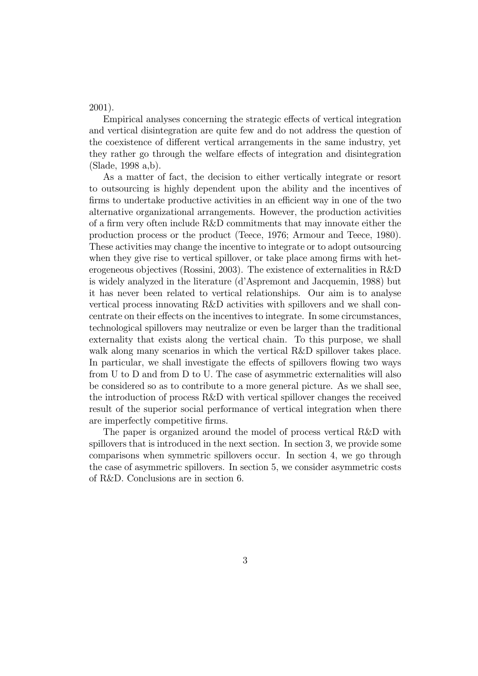2001).

Empirical analyses concerning the strategic effects of vertical integration and vertical disintegration are quite few and do not address the question of the coexistence of different vertical arrangements in the same industry, yet they rather go through the welfare effects of integration and disintegration (Slade, 1998 a,b).

As a matter of fact, the decision to either vertically integrate or resort to outsourcing is highly dependent upon the ability and the incentives of firms to undertake productive activities in an efficient way in one of the two alternative organizational arrangements. However, the production activities of a firm very often include R&D commitments that may innovate either the production process or the product (Teece, 1976; Armour and Teece, 1980). These activities may change the incentive to integrate or to adopt outsourcing when they give rise to vertical spillover, or take place among firms with heterogeneous objectives (Rossini, 2003). The existence of externalities in R&D is widely analyzed in the literature (d'Aspremont and Jacquemin, 1988) but it has never been related to vertical relationships. Our aim is to analyse vertical process innovating R&D activities with spillovers and we shall concentrate on their effects on the incentives to integrate. In some circumstances, technological spillovers may neutralize or even be larger than the traditional externality that exists along the vertical chain. To this purpose, we shall walk along many scenarios in which the vertical R&D spillover takes place. In particular, we shall investigate the effects of spillovers flowing two ways from U to D and from D to U. The case of asymmetric externalities will also be considered so as to contribute to a more general picture. As we shall see, the introduction of process R&D with vertical spillover changes the received result of the superior social performance of vertical integration when there are imperfectly competitive firms.

The paper is organized around the model of process vertical R&D with spillovers that is introduced in the next section. In section 3, we provide some comparisons when symmetric spillovers occur. In section 4, we go through the case of asymmetric spillovers. In section 5, we consider asymmetric costs of R&D. Conclusions are in section 6.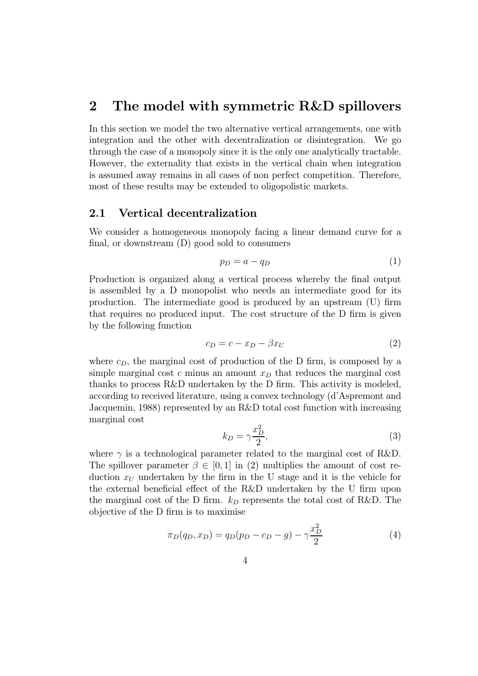## 2 The model with symmetric R&D spillovers

In this section we model the two alternative vertical arrangements, one with integration and the other with decentralization or disintegration. We go through the case of a monopoly since it is the only one analytically tractable. However, the externality that exists in the vertical chain when integration is assumed away remains in all cases of non perfect competition. Therefore, most of these results may be extended to oligopolistic markets.

#### 2.1 Vertical decentralization

We consider a homogeneous monopoly facing a linear demand curve for a final, or downstream (D) good sold to consumers

$$
p_D = a - q_D \tag{1}
$$

Production is organized along a vertical process whereby the final output is assembled by a D monopolist who needs an intermediate good for its production. The intermediate good is produced by an upstream (U) firm that requires no produced input. The cost structure of the D firm is given by the following function

$$
c_D = c - x_D - \beta x_U \tag{2}
$$

where  $c_D$ , the marginal cost of production of the D firm, is composed by a simple marginal cost c minus an amount  $x<sub>D</sub>$  that reduces the marginal cost thanks to process R&D undertaken by the D firm. This activity is modeled, according to received literature, using a convex technology (d'Aspremont and Jacquemin, 1988) represented by an R&D total cost function with increasing marginal cost

$$
k_D = \gamma \frac{x_D^2}{2},\tag{3}
$$

where  $\gamma$  is a technological parameter related to the marginal cost of R&D. The spillover parameter  $\beta \in [0, 1]$  in (2) multiplies the amount of cost reduction  $x_U$  undertaken by the firm in the U stage and it is the vehicle for the external beneficial effect of the R&D undertaken by the U firm upon the marginal cost of the D firm.  $k_D$  represents the total cost of R&D. The objective of the D firm is to maximise

$$
\pi_D(q_D, x_D) = q_D(p_D - c_D - g) - \gamma \frac{x_D^2}{2}
$$
\n(4)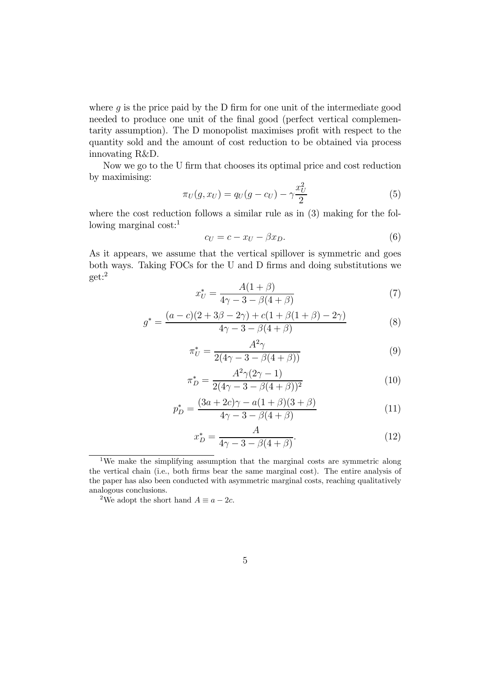where  $g$  is the price paid by the D firm for one unit of the intermediate good needed to produce one unit of the final good (perfect vertical complementarity assumption). The D monopolist maximises profit with respect to the quantity sold and the amount of cost reduction to be obtained via process innovating R&D.

Now we go to the U firm that chooses its optimal price and cost reduction by maximising:

$$
\pi_U(g, x_U) = q_U(g - c_U) - \gamma \frac{x_U^2}{2}
$$
\n(5)

where the cost reduction follows a similar rule as in (3) making for the following marginal cost: $<sup>1</sup>$ </sup>

$$
c_U = c - x_U - \beta x_D. \tag{6}
$$

As it appears, we assume that the vertical spillover is symmetric and goes both ways. Taking FOCs for the U and D firms and doing substitutions we get:<sup>2</sup>

$$
x_U^* = \frac{A(1+\beta)}{4\gamma - 3 - \beta(4+\beta)}\tag{7}
$$

$$
g^* = \frac{(a-c)(2+3\beta-2\gamma) + c(1+\beta(1+\beta)-2\gamma)}{4\gamma-3-\beta(4+\beta)}
$$
(8)

$$
\pi_U^* = \frac{A^2 \gamma}{2(4\gamma - 3 - \beta(4 + \beta))}
$$
\n(9)

$$
\pi_D^* = \frac{A^2 \gamma (2\gamma - 1)}{2(4\gamma - 3 - \beta(4 + \beta))^2}
$$
(10)

$$
p_D^* = \frac{(3a + 2c)\gamma - a(1 + \beta)(3 + \beta)}{4\gamma - 3 - \beta(4 + \beta)}
$$
(11)

$$
x_D^* = \frac{A}{4\gamma - 3 - \beta(4 + \beta)}.\tag{12}
$$

<sup>2</sup>We adopt the short hand  $A \equiv a - 2c$ .

<sup>1</sup>We make the simplifying assumption that the marginal costs are symmetric along the vertical chain (i.e., both firms bear the same marginal cost). The entire analysis of the paper has also been conducted with asymmetric marginal costs, reaching qualitatively analogous conclusions.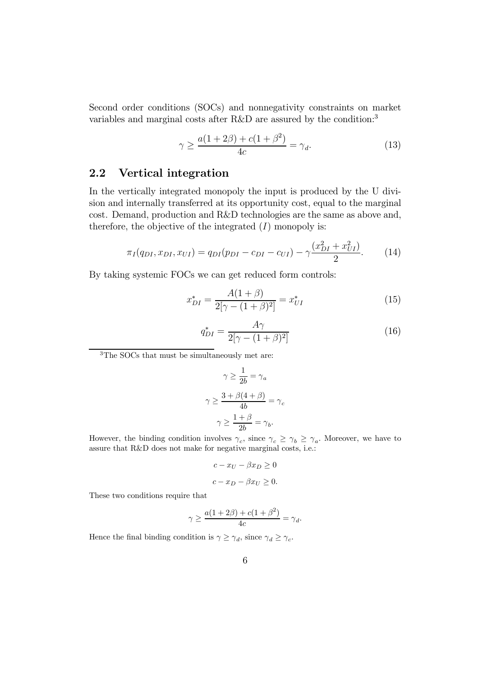Second order conditions (SOCs) and nonnegativity constraints on market variables and marginal costs after R&D are assured by the condition:<sup>3</sup>

$$
\gamma \ge \frac{a(1+2\beta) + c(1+\beta^2)}{4c} = \gamma_d. \tag{13}
$$

### 2.2 Vertical integration

In the vertically integrated monopoly the input is produced by the U division and internally transferred at its opportunity cost, equal to the marginal cost. Demand, production and R&D technologies are the same as above and, therefore, the objective of the integrated  $(I)$  monopoly is:

$$
\pi_I(q_{DI}, x_{DI}, x_{UI}) = q_{DI}(p_{DI} - c_{DI} - c_{UI}) - \gamma \frac{(x_{DI}^2 + x_{UI}^2)}{2}.
$$
 (14)

By taking systemic FOCs we can get reduced form controls:

$$
x_{DI}^{*} = \frac{A(1+\beta)}{2[\gamma - (1+\beta)^{2}]} = x_{UI}^{*}
$$
 (15)

$$
q_{DI}^* = \frac{A\gamma}{2[\gamma - (1+\beta)^2]} \tag{16}
$$

<sup>3</sup>The SOCs that must be simultaneously met are:

$$
\gamma \ge \frac{1}{2b} = \gamma_a
$$

$$
\gamma \ge \frac{3 + \beta(4 + \beta)}{4b} = \gamma_c
$$

$$
\gamma \ge \frac{1 + \beta}{2b} = \gamma_b.
$$

However, the binding condition involves  $\gamma_c$ , since  $\gamma_c \geq \gamma_b \geq \gamma_a$ . Moreover, we have to assure that R&D does not make for negative marginal costs, i.e.:

$$
c - x_U - \beta x_D \ge 0
$$
  

$$
c - x_D - \beta x_U \ge 0.
$$

These two conditions require that

$$
\gamma \ge \frac{a(1+2\beta) + c(1+\beta^2)}{4c} = \gamma_d.
$$

Hence the final binding condition is  $\gamma \geq \gamma_d$ , since  $\gamma_d \geq \gamma_c$ .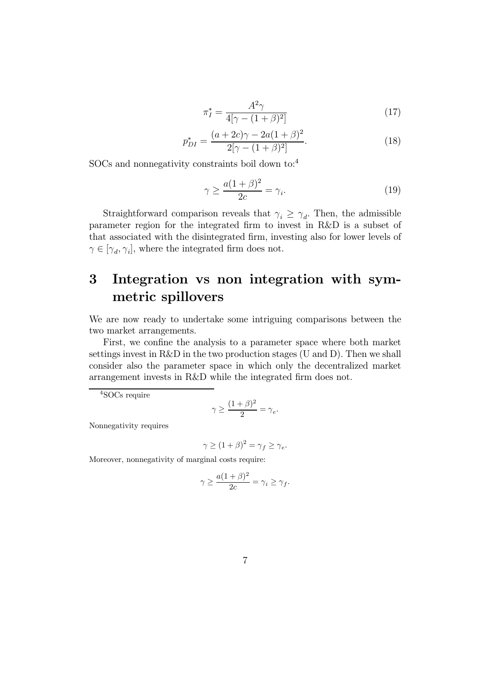$$
\pi_I^* = \frac{A^2 \gamma}{4[\gamma - (1 + \beta)^2]} \tag{17}
$$

$$
p_{DI}^{*} = \frac{(a+2c)\gamma - 2a(1+\beta)^{2}}{2[\gamma - (1+\beta)^{2}]}.
$$
\n(18)

SOCs and nonnegativity constraints boil down to:<sup>4</sup>

$$
\gamma \ge \frac{a(1+\beta)^2}{2c} = \gamma_i. \tag{19}
$$

Straightforward comparison reveals that  $\gamma_i \geq \gamma_d$ . Then, the admissible parameter region for the integrated firm to invest in R&D is a subset of that associated with the disintegrated firm, investing also for lower levels of  $\gamma \in [\gamma_d, \gamma_i]$ , where the integrated firm does not.

## 3 Integration vs non integration with symmetric spillovers

We are now ready to undertake some intriguing comparisons between the two market arrangements.

First, we confine the analysis to a parameter space where both market settings invest in R&D in the two production stages (U and D). Then we shall consider also the parameter space in which only the decentralized market arrangement invests in R&D while the integrated firm does not.

<sup>4</sup>SOCs require

$$
\gamma \ge \frac{(1+\beta)^2}{2} = \gamma_e.
$$

Nonnegativity requires

$$
\gamma \ge (1+\beta)^2 = \gamma_f \ge \gamma_e.
$$

Moreover, nonnegativity of marginal costs require:

$$
\gamma \ge \frac{a(1+\beta)^2}{2c} = \gamma_i \ge \gamma_f.
$$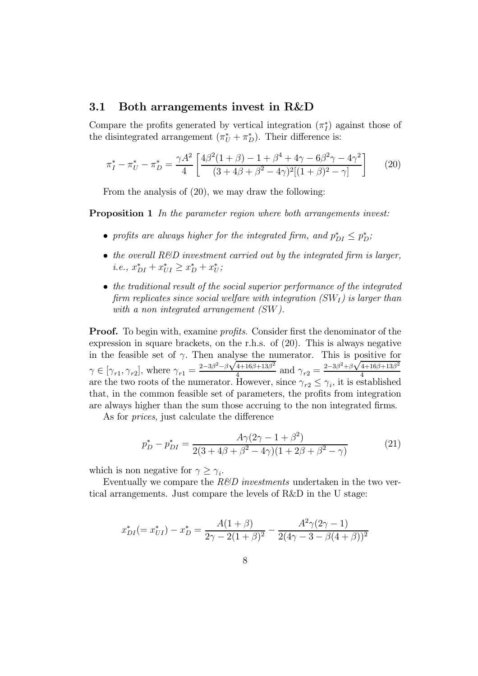#### 3.1 Both arrangements invest in R&D

Compare the profits generated by vertical integration  $(\pi_I^*)$  against those of the disintegrated arrangement  $(\pi_U^* + \pi_D^*)$ . Their difference is:

$$
\pi_I^* - \pi_U^* - \pi_D^* = \frac{\gamma A^2}{4} \left[ \frac{4\beta^2 (1+\beta) - 1 + \beta^4 + 4\gamma - 6\beta^2 \gamma - 4\gamma^2}{(3+4\beta + \beta^2 - 4\gamma)^2 [(1+\beta)^2 - \gamma]} \right] \tag{20}
$$

From the analysis of (20), we may draw the following:

**Proposition 1** In the parameter region where both arrangements invest:

- profits are always higher for the integrated firm, and  $p_{DI}^* \leq p_D^*$ ;
- the overall  $R\&D$  investment carried out by the integrated firm is larger, i.e.,  $x_{DI}^* + x_{UI}^* \ge x_D^* + x_U^*$ ;
- the traditional result of the social superior performance of the integrated firm replicates since social welfare with integration  $(SW_I)$  is larger than with a non integrated arrangement (SW).

**Proof.** To begin with, examine *profits*. Consider first the denominator of the expression in square brackets, on the r.h.s. of (20). This is always negative in the feasible set of  $\gamma$ . Then analyse the numerator. This is positive for  $\gamma \in [\gamma_{r1}, \gamma_{r2}]$ , where  $\gamma_{r1} = \frac{2-3\beta^2 - \beta\sqrt{4+16\beta+13\beta^2}}{4}$  and  $\gamma_{r2} = \frac{2-3\beta^2 + \beta\sqrt{4+16\beta+13\beta^2}}{4}$ are the two roots of the numerator. However, since  $\gamma_{r2} \leq \gamma_i$ , it is established that, in the common feasible set of parameters, the profits from integration are always higher than the sum those accruing to the non integrated firms.

As for prices, just calculate the difference

$$
p_D^* - p_{DI}^* = \frac{A\gamma(2\gamma - 1 + \beta^2)}{2(3 + 4\beta + \beta^2 - 4\gamma)(1 + 2\beta + \beta^2 - \gamma)}
$$
(21)

which is non negative for  $\gamma \geq \gamma_i$ .

Eventually we compare the  $R\&D$  investments undertaken in the two vertical arrangements. Just compare the levels of R&D in the U stage:

$$
x_{DI}^* (= x_{UI}^*) - x_D^* = \frac{A(1+\beta)}{2\gamma - 2(1+\beta)^2} - \frac{A^2\gamma(2\gamma - 1)}{2(4\gamma - 3 - \beta(4+\beta))^2}
$$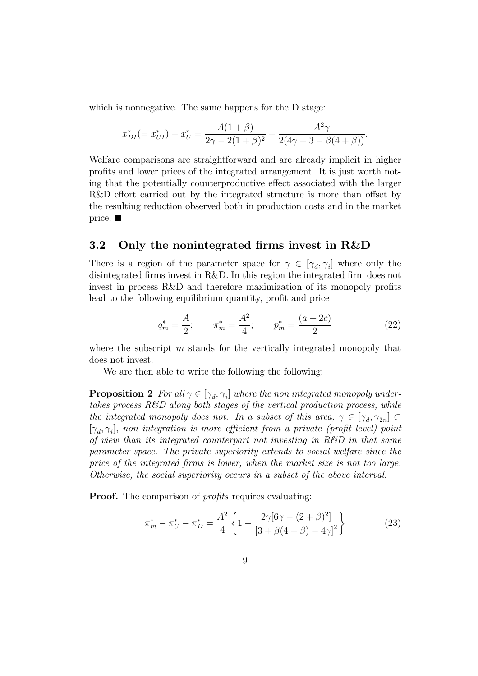which is nonnegative. The same happens for the D stage:

$$
x_{DI}^* (= x_{UI}^*) - x_U^* = \frac{A(1+\beta)}{2\gamma - 2(1+\beta)^2} - \frac{A^2\gamma}{2(4\gamma - 3 - \beta(4+\beta))}.
$$

Welfare comparisons are straightforward and are already implicit in higher profits and lower prices of the integrated arrangement. It is just worth noting that the potentially counterproductive effect associated with the larger R&D effort carried out by the integrated structure is more than offset by the resulting reduction observed both in production costs and in the market price.  $\blacksquare$ 

#### 3.2 Only the nonintegrated firms invest in R&D

There is a region of the parameter space for  $\gamma \in [\gamma_d, \gamma_i]$  where only the disintegrated firms invest in R&D. In this region the integrated firm does not invest in process R&D and therefore maximization of its monopoly profits lead to the following equilibrium quantity, profit and price

$$
q_m^* = \frac{A}{2}; \qquad \pi_m^* = \frac{A^2}{4}; \qquad p_m^* = \frac{(a+2c)}{2} \tag{22}
$$

where the subscript  $m$  stands for the vertically integrated monopoly that does not invest.

We are then able to write the following the following:

**Proposition 2** For all  $\gamma \in [\gamma_d, \gamma_i]$  where the non integrated monopoly undertakes process  $R\&D$  along both stages of the vertical production process, while the integrated monopoly does not. In a subset of this area,  $\gamma \in [\gamma_d, \gamma_{2n}] \subset$  $[\gamma_d, \gamma_i]$ , non integration is more efficient from a private (profit level) point of view than its integrated counterpart not investing in R&D in that same parameter space. The private superiority extends to social welfare since the price of the integrated firms is lower, when the market size is not too large. Otherwise, the social superiority occurs in a subset of the above interval.

**Proof.** The comparison of *profits* requires evaluating:

$$
\pi_m^* - \pi_U^* - \pi_D^* = \frac{A^2}{4} \left\{ 1 - \frac{2\gamma [6\gamma - (2+\beta)^2]}{[3+\beta(4+\beta) - 4\gamma]^2} \right\} \tag{23}
$$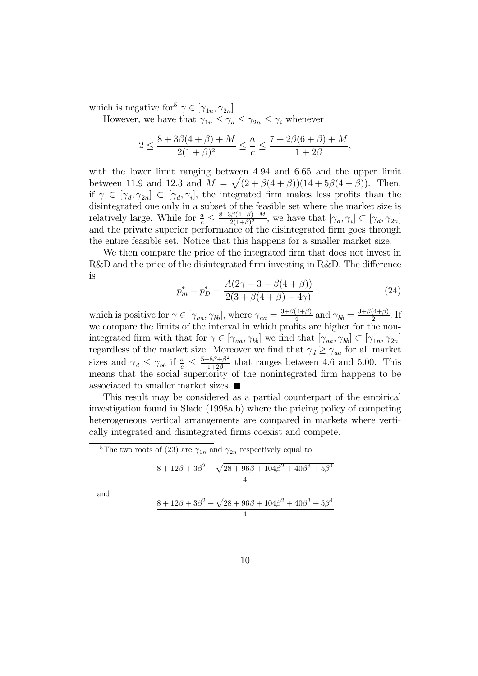which is negative for  $\gamma \in [\gamma_{1n}, \gamma_{2n}].$ 

However, we have that  $\gamma_{1n} \leq \gamma_d \leq \gamma_{2n} \leq \gamma_i$  whenever

$$
2 \le \frac{8 + 3\beta(4 + \beta) + M}{2(1 + \beta)^2} \le \frac{a}{c} \le \frac{7 + 2\beta(6 + \beta) + M}{1 + 2\beta},
$$

with the lower limit ranging between 4.94 and 6.65 and the upper limit between 11.9 and 12.3 and  $M = \sqrt{(2 + \beta(4 + \beta))(14 + 5\beta(4 + \beta))}$ . Then, if  $\gamma \in [\gamma_d, \gamma_{2n}] \subset [\gamma_d, \gamma_i]$ , the integrated firm makes less profits than the disintegrated one only in a subset of the feasible set where the market size is relatively large. While for  $\frac{a}{c} \leq \frac{8+3\beta(4+\beta)+M}{2(1+\beta)^2}$ , we have that  $[\gamma_d, \gamma_i] \subset [\gamma_d, \gamma_{2n}]$ and the private superior performance of the disintegrated firm goes through the entire feasible set. Notice that this happens for a smaller market size.

We then compare the price of the integrated firm that does not invest in R&D and the price of the disintegrated firm investing in R&D. The difference is

$$
p_m^* - p_D^* = \frac{A(2\gamma - 3 - \beta(4 + \beta))}{2(3 + \beta(4 + \beta) - 4\gamma)}
$$
(24)

which is positive for  $\gamma \in [\gamma_{aa}, \gamma_{bb}]$ , where  $\gamma_{aa} = \frac{3+\beta(4+\beta)}{4}$  and  $\gamma_{bb} = \frac{3+\beta(4+\beta)}{2}$ . If we compare the limits of the interval in which profits are higher for the nonintegrated firm with that for  $\gamma \in [\gamma_{aa}, \gamma_{bb}]$  we find that  $[\gamma_{aa}, \gamma_{bb}] \subset [\gamma_{1n}, \gamma_{2n}]$ regardless of the market size. Moreover we find that  $\gamma_d \geq \gamma_{aa}$  for all market sizes and  $\gamma_d \leq \gamma_{bb}$  if  $\frac{a}{c} \leq \frac{5+8\beta+\beta^2}{1+2\beta}$  that ranges between 4.6 and 5.00. This means that the social superiority of the nonintegrated firm happens to be associated to smaller market sizes.

This result may be considered as a partial counterpart of the empirical investigation found in Slade (1998a,b) where the pricing policy of competing heterogeneous vertical arrangements are compared in markets where vertically integrated and disintegrated firms coexist and compete.

<sup>5</sup>The two roots of (23) are  $\gamma_{1n}$  and  $\gamma_{2n}$  respectively equal to

and

$$
\frac{8+12\beta+3\beta^2-\sqrt{28+96\beta+104\beta^2+40\beta^3+5\beta^4}}{4}
$$
  

$$
\frac{8+12\beta+3\beta^2+\sqrt{28+96\beta+104\beta^2+40\beta^3+5\beta^4}}{4}
$$

10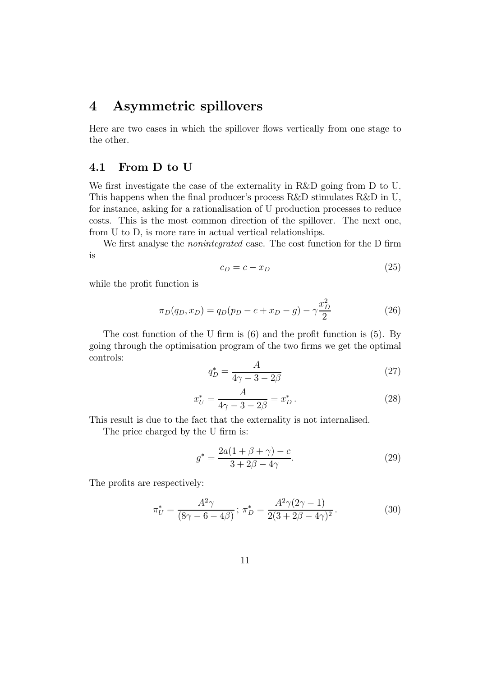## 4 Asymmetric spillovers

Here are two cases in which the spillover flows vertically from one stage to the other.

#### 4.1 From D to U

We first investigate the case of the externality in R&D going from D to U. This happens when the final producer's process R&D stimulates R&D in U, for instance, asking for a rationalisation of U production processes to reduce costs. This is the most common direction of the spillover. The next one, from U to D, is more rare in actual vertical relationships.

We first analyse the *nonintegrated* case. The cost function for the D firm is

$$
c_D = c - x_D \tag{25}
$$

while the profit function is

$$
\pi_D(q_D, x_D) = q_D(p_D - c + x_D - g) - \gamma \frac{x_D^2}{2}
$$
\n(26)

The cost function of the U firm is (6) and the profit function is (5). By going through the optimisation program of the two firms we get the optimal controls:

$$
q_D^* = \frac{A}{4\gamma - 3 - 2\beta} \tag{27}
$$

$$
x_U^* = \frac{A}{4\gamma - 3 - 2\beta} = x_D^* \,. \tag{28}
$$

This result is due to the fact that the externality is not internalised.

The price charged by the U firm is:

$$
g^* = \frac{2a(1 + \beta + \gamma) - c}{3 + 2\beta - 4\gamma}.
$$
 (29)

The profits are respectively:

$$
\pi_U^* = \frac{A^2 \gamma}{(8\gamma - 6 - 4\beta)}; \ \pi_D^* = \frac{A^2 \gamma (2\gamma - 1)}{2(3 + 2\beta - 4\gamma)^2}.
$$
 (30)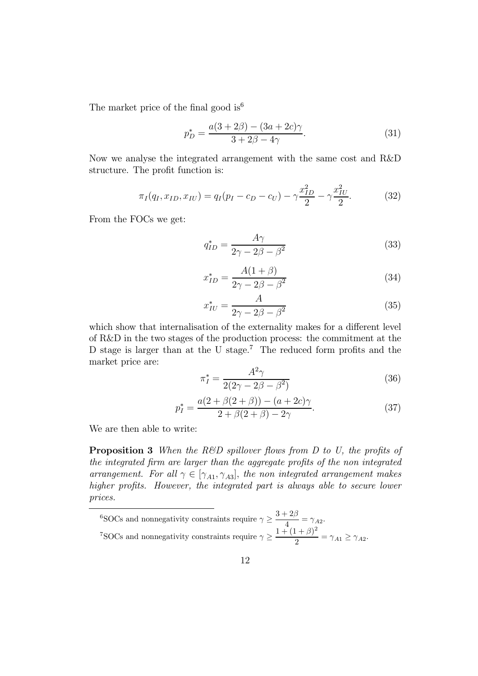The market price of the final good is  $6^6$ 

$$
p_D^* = \frac{a(3+2\beta) - (3a+2c)\gamma}{3+2\beta-4\gamma}.
$$
 (31)

Now we analyse the integrated arrangement with the same cost and R&D structure. The profit function is:

$$
\pi_I(q_I, x_{ID}, x_{IU}) = q_I(p_I - c_D - c_U) - \gamma \frac{x_{ID}^2}{2} - \gamma \frac{x_{IU}^2}{2}.
$$
 (32)

From the FOCs we get:

$$
q_{ID}^* = \frac{A\gamma}{2\gamma - 2\beta - \beta^2} \tag{33}
$$

$$
x_{ID}^* = \frac{A(1+\beta)}{2\gamma - 2\beta - \beta^2} \tag{34}
$$

$$
x_{IU}^* = \frac{A}{2\gamma - 2\beta - \beta^2} \tag{35}
$$

which show that internalisation of the externality makes for a different level of R&D in the two stages of the production process: the commitment at the D stage is larger than at the U stage.<sup>7</sup> The reduced form profits and the market price are:

$$
\pi_I^* = \frac{A^2 \gamma}{2(2\gamma - 2\beta - \beta^2)}\tag{36}
$$

$$
p_I^* = \frac{a(2 + \beta(2 + \beta)) - (a + 2c)\gamma}{2 + \beta(2 + \beta) - 2\gamma}.
$$
 (37)

We are then able to write:

**Proposition 3** When the R&D spillover flows from D to U, the profits of the integrated firm are larger than the aggregate profits of the non integrated arrangement. For all  $\gamma \in [\gamma_{A1}, \gamma_{A3}]$ , the non integrated arrangement makes higher profits. However, the integrated part is always able to secure lower prices.

<sup>6</sup>SOCs and nonnegativity constraints require  $\gamma \geq \frac{3+2\beta}{4} = \gamma_{A2}$ . <sup>7</sup>SOCs and nonnegativity constraints require  $\gamma \geq \frac{1 + (1 + \beta)^2}{2} = \gamma_{A1} \geq \gamma_{A2}$ .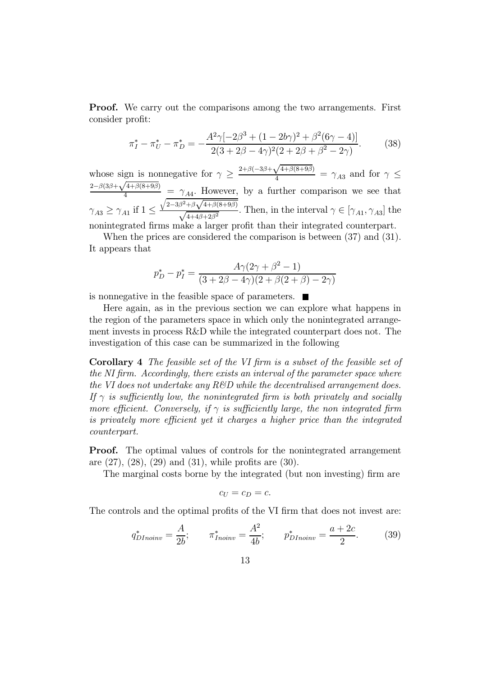**Proof.** We carry out the comparisons among the two arrangements. First consider profit:

$$
\pi_I^* - \pi_U^* - \pi_D^* = -\frac{A^2 \gamma [-2\beta^3 + (1 - 2b\gamma)^2 + \beta^2 (6\gamma - 4)]}{2(3 + 2\beta - 4\gamma)^2 (2 + 2\beta + \beta^2 - 2\gamma)}.
$$
(38)

whose sign is nonnegative for  $\gamma \geq \frac{2+\beta(-3\beta+\sqrt{4+\beta(8+9\beta})}{4}$  $\frac{\sqrt{4+\rho(8+3\rho)}}{4} = \gamma_{A3}$  and for  $\gamma \leq$  $2-\beta(3\beta+\sqrt{4+\beta(8+9\beta)})$  $\frac{44+\rho(0+3\rho)}{4} = \gamma_{A4}$ . However, by a further comparison we see that  $\gamma_{A3} \geq \gamma_{A1}$  if  $1 \leq$  $\sqrt{2-3\beta^2+\beta\sqrt{4+\beta(8+9\beta)}}$  $\sqrt{\frac{\gamma+\beta(\gamma+\beta)}{4+4\beta+2\beta^2}}$ . Then, in the interval  $\gamma \in [\gamma_{A1}, \gamma_{A3}]$  the nonintegrated firms make a larger profit than their integrated counterpart.

When the prices are considered the comparison is between (37) and (31). It appears that

$$
p_D^* - p_I^* = \frac{A\gamma(2\gamma + \beta^2 - 1)}{(3 + 2\beta - 4\gamma)(2 + \beta(2 + \beta) - 2\gamma)}
$$

is nonnegative in the feasible space of parameters.  $\blacksquare$ 

Here again, as in the previous section we can explore what happens in the region of the parameters space in which only the nonintegrated arrangement invests in process R&D while the integrated counterpart does not. The investigation of this case can be summarized in the following

Corollary 4 The feasible set of the VI firm is a subset of the feasible set of the NI firm. Accordingly, there exists an interval of the parameter space where the VI does not undertake any  $R\&D$  while the decentralised arrangement does. If  $\gamma$  is sufficiently low, the nonintegrated firm is both privately and socially more efficient. Conversely, if  $\gamma$  is sufficiently large, the non-integrated firm is privately more efficient yet it charges a higher price than the integrated counterpart.

**Proof.** The optimal values of controls for the nonintegrated arrangement are (27), (28), (29) and (31), while profits are (30).

The marginal costs borne by the integrated (but non investing) firm are

$$
c_U=c_D=c.
$$

The controls and the optimal profits of the VI firm that does not invest are:

$$
q_{DInoinv}^{*} = \frac{A}{2b}; \qquad \pi_{Inoinv}^{*} = \frac{A^{2}}{4b}; \qquad p_{DInoinv}^{*} = \frac{a + 2c}{2}.
$$
 (39)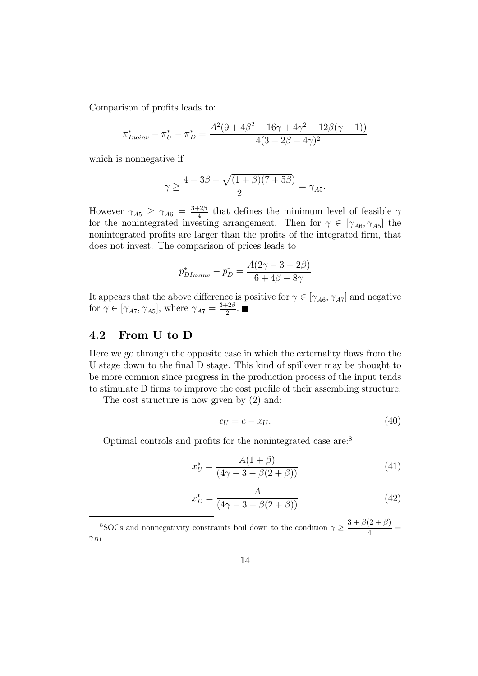Comparison of profits leads to:

$$
\pi_{Inoinv}^* - \pi_U^* - \pi_D^* = \frac{A^2(9 + 4\beta^2 - 16\gamma + 4\gamma^2 - 12\beta(\gamma - 1))}{4(3 + 2\beta - 4\gamma)^2}
$$

which is nonnegative if

$$
\gamma \ge \frac{4+3\beta+\sqrt{(1+\beta)(7+5\beta)}}{2} = \gamma_{A5}.
$$

However  $\gamma_{A5} \geq \gamma_{A6} = \frac{3+2\beta}{4}$  that defines the minimum level of feasible  $\gamma$ for the nonintegrated investing arrangement. Then for  $\gamma \in [\gamma_{A6}, \gamma_{A5}]$  the nonintegrated profits are larger than the profits of the integrated firm, that does not invest. The comparison of prices leads to

$$
p_{DInoinv}^{*} - p_{D}^{*} = \frac{A(2\gamma - 3 - 2\beta)}{6 + 4\beta - 8\gamma}
$$

It appears that the above difference is positive for  $\gamma \in [\gamma_{A6}, \gamma_{A7}]$  and negative for  $\gamma \in [\gamma_{A7}, \gamma_{A5}],$  where  $\gamma_{A7} = \frac{3+2\beta}{2}.$ 

#### 4.2 From U to D

Here we go through the opposite case in which the externality flows from the U stage down to the final D stage. This kind of spillover may be thought to be more common since progress in the production process of the input tends to stimulate D firms to improve the cost profile of their assembling structure.

The cost structure is now given by  $(2)$  and:

$$
c_U = c - x_U. \tag{40}
$$

Optimal controls and profits for the nonintegrated case are:<sup>8</sup>

$$
x_U^* = \frac{A(1+\beta)}{(4\gamma - 3 - \beta(2+\beta))}
$$
(41)

$$
x_D^* = \frac{A}{(4\gamma - 3 - \beta(2 + \beta))}
$$
(42)

<sup>8</sup>SOCs and nonnegativity constraints boil down to the condition  $\gamma \geq \frac{3 + \beta(2 + \beta)}{4}$  $\gamma_{B1}$ .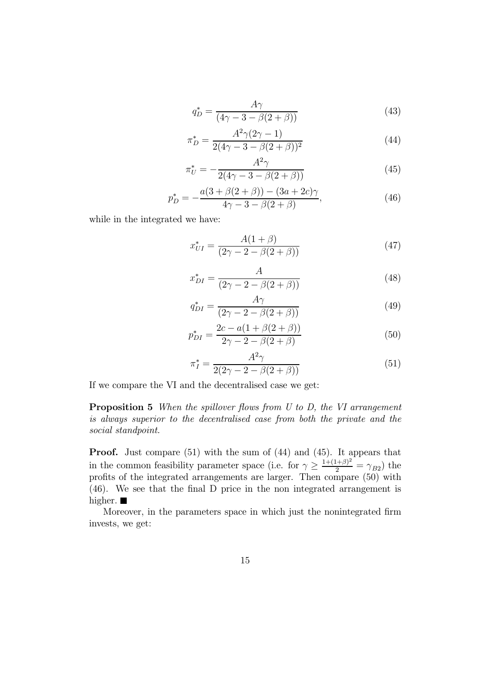$$
q_D^* = \frac{A\gamma}{(4\gamma - 3 - \beta(2 + \beta))}
$$
\n(43)

$$
\pi_D^* = \frac{A^2 \gamma (2\gamma - 1)}{2(4\gamma - 3 - \beta(2 + \beta))^2}
$$
(44)

$$
\pi_U^* = -\frac{A^2 \gamma}{2(4\gamma - 3 - \beta(2 + \beta))}
$$
(45)

$$
p_D^* = -\frac{a(3+\beta(2+\beta)) - (3a+2c)\gamma}{4\gamma - 3 - \beta(2+\beta)},
$$
\n(46)

while in the integrated we have:

$$
x_{UI}^* = \frac{A(1+\beta)}{(2\gamma - 2 - \beta(2+\beta))}
$$
(47)

$$
x_{DI}^{*} = \frac{A}{(2\gamma - 2 - \beta(2 + \beta))}
$$
(48)

$$
q_{DI}^* = \frac{A\gamma}{(2\gamma - 2 - \beta(2 + \beta))}
$$
(49)

$$
p_{DI}^{*} = \frac{2c - a(1 + \beta(2 + \beta))}{2\gamma - 2 - \beta(2 + \beta)}
$$
(50)

$$
\pi_I^* = \frac{A^2 \gamma}{2(2\gamma - 2 - \beta(2 + \beta))}
$$
(51)

If we compare the VI and the decentralised case we get:

Proposition 5 When the spillover flows from U to D, the VI arrangement is always superior to the decentralised case from both the private and the social standpoint.

Proof. Just compare (51) with the sum of (44) and (45). It appears that in the common feasibility parameter space (i.e. for  $\gamma \geq \frac{1+(1+\beta)^2}{2} = \gamma_{B2}$ ) the profits of the integrated arrangements are larger. Then compare (50) with (46). We see that the final D price in the non integrated arrangement is higher.  $\blacksquare$ 

Moreover, in the parameters space in which just the nonintegrated firm invests, we get: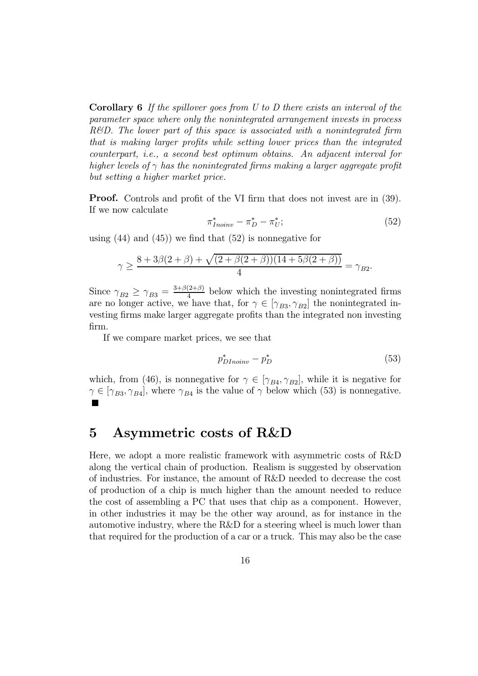Corollary 6 If the spillover goes from U to D there exists an interval of the parameter space where only the nonintegrated arrangement invests in process R&D. The lower part of this space is associated with a nonintegrated firm that is making larger profits while setting lower prices than the integrated counterpart, i.e., a second best optimum obtains. An adjacent interval for higher levels of  $\gamma$  has the nonintegrated firms making a larger aggregate profit but setting a higher market price.

Proof. Controls and profit of the VI firm that does not invest are in (39). If we now calculate

$$
\pi_{Inoinv}^* - \pi_D^* - \pi_U^*;
$$
\n<sup>(52)</sup>

using  $(44)$  and  $(45)$  we find that  $(52)$  is nonnegative for

$$
\gamma \ge \frac{8 + 3\beta(2 + \beta) + \sqrt{(2 + \beta(2 + \beta))(14 + 5\beta(2 + \beta))}}{4} = \gamma_{B2}.
$$

Since  $\gamma_{B2} \geq \gamma_{B3} = \frac{3+\beta(2+\beta)}{4}$  below which the investing nonintegrated firms are no longer active, we have that, for  $\gamma \in [\gamma_{B3}, \gamma_{B2}]$  the nonintegrated investing firms make larger aggregate profits than the integrated non investing firm.

If we compare market prices, we see that

$$
p^*_{DInoinv} - p^*_D \tag{53}
$$

which, from (46), is nonnegative for  $\gamma \in [\gamma_{B4}, \gamma_{B2}]$ , while it is negative for  $\gamma \in [\gamma_{B3}, \gamma_{B4}]$ , where  $\gamma_{B4}$  is the value of  $\gamma$  below which (53) is nonnegative.

## 5 Asymmetric costs of R&D

Here, we adopt a more realistic framework with asymmetric costs of R&D along the vertical chain of production. Realism is suggested by observation of industries. For instance, the amount of R&D needed to decrease the cost of production of a chip is much higher than the amount needed to reduce the cost of assembling a PC that uses that chip as a component. However, in other industries it may be the other way around, as for instance in the automotive industry, where the R&D for a steering wheel is much lower than that required for the production of a car or a truck. This may also be the case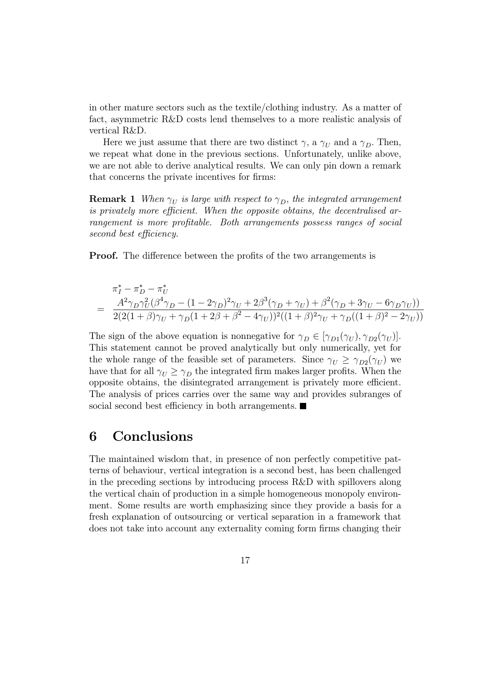in other mature sectors such as the textile/clothing industry. As a matter of fact, asymmetric R&D costs lend themselves to a more realistic analysis of vertical R&D.

Here we just assume that there are two distinct  $\gamma$ , a  $\gamma_U$  and a  $\gamma_D$ . Then, we repeat what done in the previous sections. Unfortunately, unlike above, we are not able to derive analytical results. We can only pin down a remark that concerns the private incentives for firms:

**Remark 1** When  $\gamma_U$  is large with respect to  $\gamma_D$ , the integrated arrangement is privately more efficient. When the opposite obtains, the decentralised arrangement is more profitable. Both arrangements possess ranges of social second best efficiency.

**Proof.** The difference between the profits of the two arrangements is

$$
\pi_I^* - \pi_D^* - \pi_U^*
$$
\n
$$
= \frac{A^2 \gamma_D \gamma_U^2 (\beta^4 \gamma_D - (1 - 2\gamma_D)^2 \gamma_U + 2\beta^3 (\gamma_D + \gamma_U) + \beta^2 (\gamma_D + 3\gamma_U - 6\gamma_D \gamma_U))}{2(2(1 + \beta)\gamma_U + \gamma_D(1 + 2\beta + \beta^2 - 4\gamma_U))^2((1 + \beta)^2 \gamma_U + \gamma_D((1 + \beta)^2 - 2\gamma_U))}
$$

The sign of the above equation is nonnegative for  $\gamma_D \in [\gamma_{D1}(\gamma_U), \gamma_{D2}(\gamma_U)].$ This statement cannot be proved analytically but only numerically, yet for the whole range of the feasible set of parameters. Since  $\gamma_U \geq \gamma_{D2}(\gamma_U)$  we have that for all  $\gamma_U \geq \gamma_D$  the integrated firm makes larger profits. When the opposite obtains, the disintegrated arrangement is privately more efficient. The analysis of prices carries over the same way and provides subranges of social second best efficiency in both arrangements.

## 6 Conclusions

The maintained wisdom that, in presence of non perfectly competitive patterns of behaviour, vertical integration is a second best, has been challenged in the preceding sections by introducing process R&D with spillovers along the vertical chain of production in a simple homogeneous monopoly environment. Some results are worth emphasizing since they provide a basis for a fresh explanation of outsourcing or vertical separation in a framework that does not take into account any externality coming form firms changing their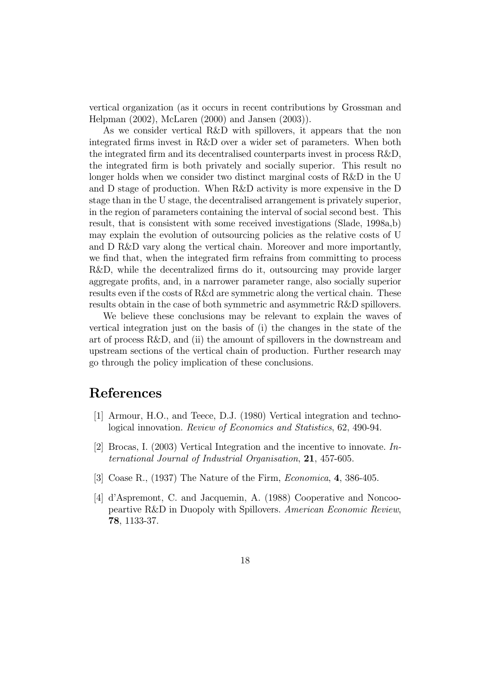vertical organization (as it occurs in recent contributions by Grossman and Helpman (2002), McLaren (2000) and Jansen (2003)).

As we consider vertical R&D with spillovers, it appears that the non integrated firms invest in R&D over a wider set of parameters. When both the integrated firm and its decentralised counterparts invest in process R&D, the integrated firm is both privately and socially superior. This result no longer holds when we consider two distinct marginal costs of R&D in the U and D stage of production. When R&D activity is more expensive in the D stage than in the U stage, the decentralised arrangement is privately superior, in the region of parameters containing the interval of social second best. This result, that is consistent with some received investigations (Slade, 1998a,b) may explain the evolution of outsourcing policies as the relative costs of U and D R&D vary along the vertical chain. Moreover and more importantly, we find that, when the integrated firm refrains from committing to process R&D, while the decentralized firms do it, outsourcing may provide larger aggregate profits, and, in a narrower parameter range, also socially superior results even if the costs of R&d are symmetric along the vertical chain. These results obtain in the case of both symmetric and asymmetric R&D spillovers.

We believe these conclusions may be relevant to explain the waves of vertical integration just on the basis of (i) the changes in the state of the art of process R&D, and (ii) the amount of spillovers in the downstream and upstream sections of the vertical chain of production. Further research may go through the policy implication of these conclusions.

## References

- [1] Armour, H.O., and Teece, D.J. (1980) Vertical integration and technological innovation. Review of Economics and Statistics, 62, 490-94.
- [2] Brocas, I. (2003) Vertical Integration and the incentive to innovate. International Journal of Industrial Organisation, 21, 457-605.
- [3] Coase R., (1937) The Nature of the Firm, Economica, 4, 386-405.
- [4] d'Aspremont, C. and Jacquemin, A. (1988) Cooperative and Noncoopeartive R&D in Duopoly with Spillovers. American Economic Review, 78, 1133-37.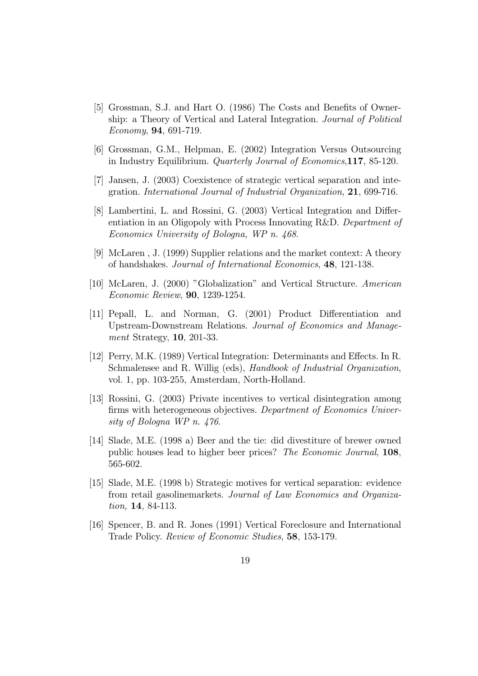- [5] Grossman, S.J. and Hart O. (1986) The Costs and Benefits of Ownership: a Theory of Vertical and Lateral Integration. Journal of Political Economy, 94, 691-719.
- [6] Grossman, G.M., Helpman, E. (2002) Integration Versus Outsourcing in Industry Equilibrium. Quarterly Journal of Economics,117, 85-120.
- [7] Jansen, J. (2003) Coexistence of strategic vertical separation and integration. International Journal of Industrial Organization, 21, 699-716.
- [8] Lambertini, L. and Rossini, G. (2003) Vertical Integration and Differentiation in an Oligopoly with Process Innovating R&D. Department of Economics University of Bologna, WP n. 468.
- [9] McLaren , J. (1999) Supplier relations and the market context: A theory of handshakes. Journal of International Economics, 48, 121-138.
- [10] McLaren, J. (2000) "Globalization" and Vertical Structure. American Economic Review, 90, 1239-1254.
- [11] Pepall, L. and Norman, G. (2001) Product Differentiation and Upstream-Downstream Relations. Journal of Economics and Management Strategy, 10, 201-33.
- [12] Perry, M.K. (1989) Vertical Integration: Determinants and Effects. In R. Schmalensee and R. Willig (eds), Handbook of Industrial Organization, vol. 1, pp. 103-255, Amsterdam, North-Holland.
- [13] Rossini, G. (2003) Private incentives to vertical disintegration among firms with heterogeneous objectives. Department of Economics University of Bologna WP n. 476.
- [14] Slade, M.E. (1998 a) Beer and the tie: did divestiture of brewer owned public houses lead to higher beer prices? The Economic Journal, 108, 565-602.
- [15] Slade, M.E. (1998 b) Strategic motives for vertical separation: evidence from retail gasolinemarkets. Journal of Law Economics and Organization, 14, 84-113.
- [16] Spencer, B. and R. Jones (1991) Vertical Foreclosure and International Trade Policy. Review of Economic Studies, 58, 153-179.